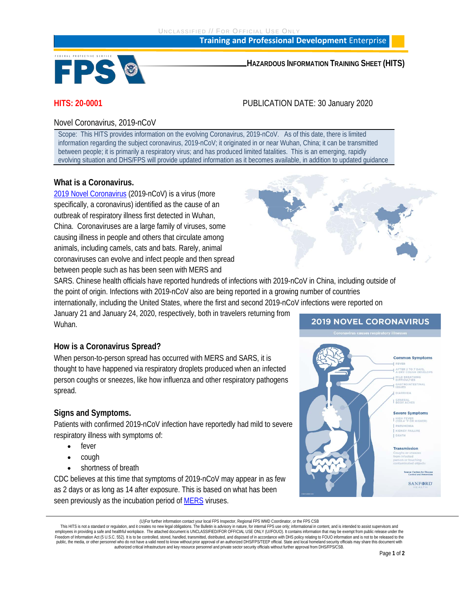UNCLASSIFIED // FOR OFFICIAL USE ONLY

**Training and Professional Development** Enterprise



**HAZARDOUS INFORMATION TRAINING SHEET (HITS)**

# **HITS: 20-0001** PUBLICATION DATE: 30 January 2020

# Novel Coronavirus, 2019-nCoV

Scope: This HITS provides information on the evolving Coronavirus, 2019-nCoV. As of this date, there is limited information regarding the subject coronavirus, 2019-nCoV; it originated in or near Wuhan, China; it can be transmitted between people; it is primarily a respiratory virus; and has produced limited fatalities. This is an emerging, rapidly evolving situation and DHS/FPS will provide updated information as it becomes available, in addition to updated guidance

# **What is a Coronavirus.**

[2019 Novel Coronavirus](https://www.cdc.gov/coronavirus/2019-ncov/index.html) (2019-nCoV) is a virus (more specifically, a coronavirus) identified as the cause of an outbreak of respiratory illness first detected in Wuhan, China. Coronaviruses are a large family of viruses, some causing illness in people and others that circulate among animals, including camels, cats and bats. Rarely, animal coronaviruses can evolve and infect people and then spread between people such as has been seen with MERS and



SARS. Chinese health officials have reported hundreds of infections with 2019-nCoV in China, including outside of the point of origin. Infections with 2019-nCoV also are being reported in a growing number of countries internationally, including the United States, where the first and second 2019-nCoV infections were reported on

January 21 and January 24, 2020, respectively, both in travelers returning from Wuhan.

# **How is a Coronavirus Spread?**

When person-to-person spread has occurred with MERS and SARS, it is thought to have happened via respiratory droplets produced when an infected person coughs or sneezes, like how influenza and other respiratory pathogens spread.

# **Signs and Symptoms.**

Patients with confirmed 2019-nCoV infection have reportedly had mild to severe respiratory illness with symptoms of:

- fever
- cough
- shortness of breath

CDC believes at this time that symptoms of 2019-nCoV may appear in as few as 2 days or as long as 14 after exposure. This is based on what has been seen previously as the incubation period of [MERS](https://www.cdc.gov/coronavirus/mers/index.html) viruses.

# **2019 NOVEL CORONAVIRUS**



<sup>(</sup>U)For further information contact your local FPS Inspector, Regional FPS WMD Coordinator, or the FPS CSB

This HITS is not a standard or regulation, and it creates no new legal obligations. The Bulletin is advisory in nature, for internal FPS use only; informational in content, and is intended to assist supervisors and employees in providing a safe and healthful workplace. The attached document is UNCLASSIFIED//FOR OFFICIAL USE ONLY (U//FOUO). It contains information that may be exempt from public release under the<br>Freedom of Information public, the media, or other personnel who do not have a valid need to know without prior approval of an authorized DHS/FPS/TEEP official. State and local homeland security officials may share this document with authorized critical infrastructure and key resource personnel and private sector security officials without further approval from DHS/FPS/CSB.